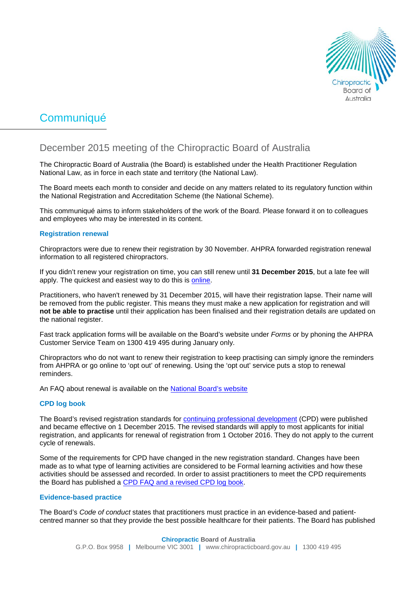

# Communiqué

# December 2015 meeting of the Chiropractic Board of Australia

The Chiropractic Board of Australia (the Board) is established under the Health Practitioner Regulation National Law, as in force in each state and territory (the National Law).

The Board meets each month to consider and decide on any matters related to its regulatory function within the National Registration and Accreditation Scheme (the National Scheme).

This communiqué aims to inform stakeholders of the work of the Board. Please forward it on to colleagues and employees who may be interested in its content.

## **Registration renewal**

Chiropractors were due to renew their registration by 30 November. AHPRA forwarded registration renewal information to all registered chiropractors.

If you didn't renew your registration on time, you can still renew until **31 December 2015**, but a late fee will apply. The quickest and easiest way to do this is [online.](https://www.ahpra.gov.au/Login.aspx)

Practitioners, who haven't renewed by 31 December 2015, will have their registration lapse. Their name will be removed from the public register. This means they must make a new application for registration and will **not be able to practise** until their application has been finalised and their registration details are updated on the national register.

Fast track application forms will be available on the Board's website under *Forms* or by phoning the AHPRA Customer Service Team on 1300 419 495 during January only.

Chiropractors who do not want to renew their registration to keep practising can simply ignore the reminders from AHPRA or go online to 'opt out' of renewing. Using the 'opt out' service puts a stop to renewal reminders.

An FAQ about renewal is available on the [National Board's website](http://www.chiropracticboard.gov.au/Codes-guidelines/FAQ/Registration-endorsement/Renewal.aspx)

#### **CPD log book**

The Board's revised registration standards for [continuing professional development](http://www.chiropracticboard.gov.au/Registration-standards.aspx) (CPD) were published and became effective on 1 December 2015. The revised standards will apply to most applicants for initial registration, and applicants for renewal of registration from 1 October 2016. They do not apply to the current cycle of renewals.

Some of the requirements for CPD have changed in the new registration standard. Changes have been made as to what type of learning activities are considered to be Formal learning activities and how these activities should be assessed and recorded. In order to assist practitioners to meet the CPD requirements the Board has published a [CPD FAQ and a revised CPD log book.](http://www.chiropracticboard.gov.au/Codes-guidelines/FAQ.aspx)

#### **Evidence-based practice**

The Board's *Code of conduct* states that practitioners must practice in an evidence-based and patientcentred manner so that they provide the best possible healthcare for their patients. The Board has published